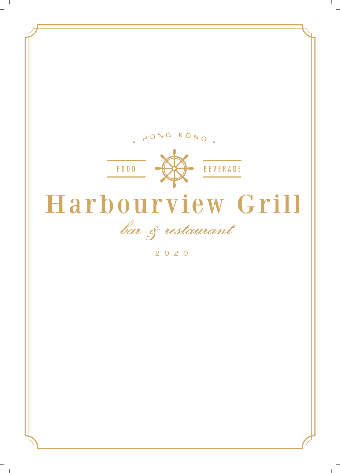

 $\sim 1$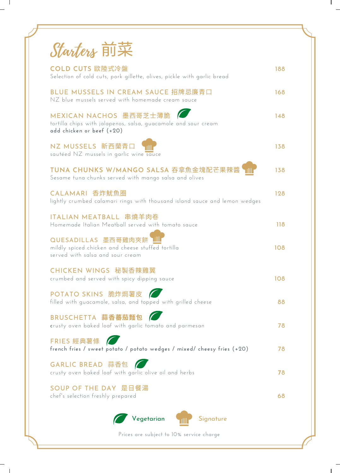| Starters 前菜                                                                                                           |     |  |
|-----------------------------------------------------------------------------------------------------------------------|-----|--|
| <b>COLD CUTS 歐陸式冷盤</b><br>Selection of cold cuts, pork gillette, olives, pickle with garlic bread                     | 188 |  |
| BLUE MUSSELS IN CREAM SAUCE 招牌忌廉青口<br>NZ blue mussels served with homemade cream sauce                                | 168 |  |
| MEXICAN NACHOS 墨西哥芝士薄脆<br>tortilla chips with jalapenos, salsa, guacamole and sour cream<br>add chicken or beef (+20) | 148 |  |
| NZ MUSSELS 新西蘭青口<br>sautéed NZ mussels in garlic wine sauce                                                           | 138 |  |
| TUNA CHUNKS W/MANGO SALSA 吞拿魚金塊配芒果辣醬<br>Sesame tuna chunks served with mango salsa and olives                         | 138 |  |
| CALAMARI 香炸魷魚圈<br>lightly crumbed calamari rings with thousand island sauce and lemon wedges                          | 128 |  |
| ITALIAN MEATBALL 串燒羊肉卷<br>Homemade Italian Meatball served with tomato sauce                                          | 118 |  |
| QUESADILLAS 墨西哥雞肉夾餅<br>mildly spiced chicken and cheese stuffed tortilla<br>served with salsa and sour cream          | 108 |  |
| CHICKEN WINGS 秘製香辣雞翼<br>crumbed and served with spicy dipping sauce                                                   | 108 |  |
| POTATO SKINS 脆炸焗薯皮<br>filled with guacamole, salsa, and topped with grilled cheese                                    | 88  |  |
| BRUSCHETTA 蒜香蕃茄麵包<br>crusty oven baked loaf with garlic tomato and parmesan                                           | 78  |  |
| FRIES 經典薯條<br>french fries / sweet potato / potato wedges / mixed/ cheesy fries (+20)                                 | 78  |  |
| GARLIC BREAD 蒜香包<br>crusty oven baked loaf with garlic olive oil and herbs                                            | 78  |  |
| SOUP OF THE DAY 是日餐湯<br>chef's selection freshly prepared                                                             | 68  |  |
| Vegetarian<br>Signature                                                                                               |     |  |
| Prices are subject to 10% service charge                                                                              |     |  |

 $^{-}$  ,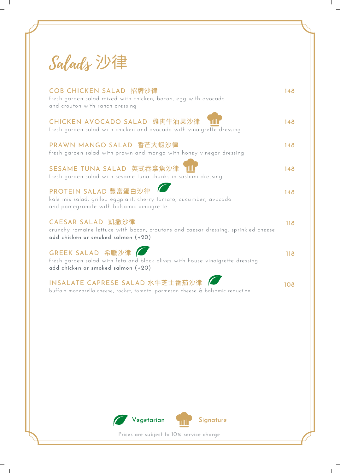| Salads 沙律                                                                                                                                     |     |
|-----------------------------------------------------------------------------------------------------------------------------------------------|-----|
| COB CHICKEN SALAD 招牌沙律<br>fresh garden salad mixed with chicken, bacon, egg with avocado<br>and crouton with ranch dressing                   | 148 |
| CHICKEN AVOCADO SALAD 雞肉牛油果沙律<br>fresh garden salad with chicken and avocado with vinaigrette dressing                                        | 148 |
| PRAWN MANGO SALAD 香芒大蝦沙律<br>fresh garden salad with prawn and mango with honey vinegar dressing                                               | 148 |
| SESAME TUNA SALAD 英式吞拿魚沙律<br>fresh garden salad with sesame tuna chunks in sashimi dressing                                                   | 148 |
| PROTEIN SALAD 豐富蛋白沙律<br>kale mix salad, grilled eggplant, cherry tomato, cucumber, avocado<br>and pomegranate with balsamic vinaigrette       | 148 |
| CAESAR SALAD 凱撒沙律<br>crunchy romaine lettuce with bacon, croutons and caesar dressing, sprinkled cheese<br>add chicken or smoked salmon (+20) | 118 |
| GREEK SALAD 希臘沙律<br>fresh garden salad with feta and black olives with house vinaigrette dressing<br>add chicken or smoked salmon (+20)       | 118 |
| INSALATE CAPRESE SALAD 水牛芝士番茄沙律<br>buffalo mozzarella cheese, rocket, tomato, parmesan cheese & balsamic reduction                            | 108 |

 $\mathbf{I}$ 

 $\mathbf{I}$ 

 $\overline{\phantom{a}}$  1

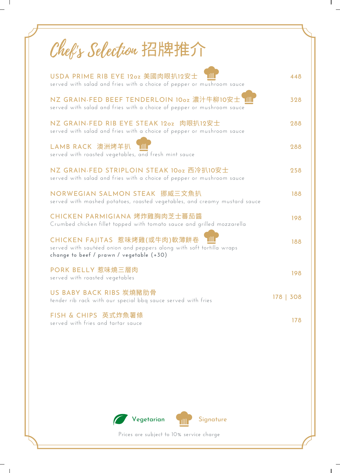| Chef's Selection 招牌推介                                                                                                                             |           |
|---------------------------------------------------------------------------------------------------------------------------------------------------|-----------|
| USDA PRIME RIB EYE 12oz 美國肉眼扒12安士<br>served with salad and fries with a choice of pepper or mushroom sauce                                        | 448       |
| NZ GRAIN-FED BEEF TENDERLOIN 10oz 濃汁牛柳10安士<br>served with salad and fries with a choice of pepper or mushroom sauce                               | 328       |
| NZ GRAIN-FED RIB EYE STEAK 12oz 肉眼扒12安士<br>served with salad and fries with a choice of pepper or mushroom sauce                                  | 288       |
| LAMB RACK 澳洲烤羊扒<br>served with roasted vegetables, and fresh mint sauce                                                                           | 288       |
| NZ GRAIN-FED STRIPLOIN STEAK 10oz 西冷扒10安士<br>served with salad and fries with a choice of pepper or mushroom sauce                                | 258       |
| NORWEGIAN SALMON STEAK 挪威三文魚扒<br>served with mashed potatoes, roasted vegetables, and creamy mustard sauce                                        | 188       |
| CHICKEN PARMIGIANA 烤炸雞胸肉芝士蕃茄醬<br>Crumbed chicken fillet topped with tomato sauce and grilled mozzarella                                           | 198       |
| CHICKEN FAJITAS 惹味烤雞(或牛肉)軟薄餅卷<br>served with sautéed onion and peppers along with soft tortilla wraps<br>change to beef / prawn / vegetable (+30) | 188       |
| PORK BELLY 惹味燒三層肉<br>served with roasted vegetables                                                                                               | 198       |
| US BABY BACK RIBS 炭燒豬肋骨<br>tender rib rack with our special bbq sauce served with fries                                                           | 178   308 |
| FISH & CHIPS 英式炸魚薯條<br>served with fries and tartar sauce                                                                                         | 178       |

 $\sim$  1

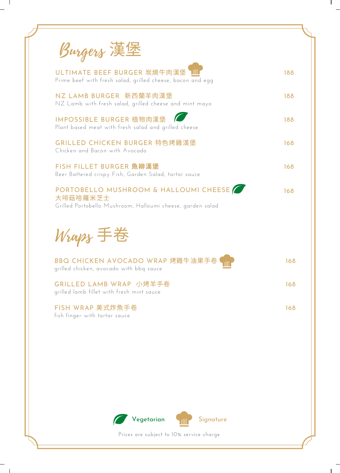| Burgers 漢堡                                                                                                      |     |
|-----------------------------------------------------------------------------------------------------------------|-----|
| ULTIMATE BEEF BURGER 炭燒牛肉漢堡<br>Prime beef with fresh salad, grilled cheese, bacon and egg                       | 188 |
| NZ LAMB BURGER 新西蘭羊肉漢堡<br>NZ Lamb with fresh salad, grilled cheese and mint mayo                                | 188 |
| IMPOSSIBLE BURGER 植物肉漢堡<br>Plant based meat with fresh salad and grilled cheese                                 | 188 |
| GRILLED CHICKEN BURGER 特色烤雞漢堡<br>Chicken and Bacon with Avocado                                                 | 168 |
| FISH FILLET BURGER 魚柳漢堡<br>Beer Battered crispy Fish, Garden Salad, tartar sauce                                | 168 |
| PORTOBELLO MUSHROOM & HALLOUMI CHEESE<br>大啡菇哈羅米芝士<br>Grilled Portobello Mushroom, Halloumi cheese, garden salad | 168 |
| Wraps 手卷                                                                                                        |     |
| BBQ CHICKEN AVOCADO WRAP 烤雞牛油果手卷<br>grilled chicken, avocado with bbq sauce                                     | 168 |
| GRILLED LAMB WRAP 小烤羊手卷<br>grilled lamb fillet with fresh mint sauce                                            | 168 |
| FISH WRAP 美式炸魚手卷<br>fish finger with tartar sauce                                                               | 168 |

 $\sim$  1

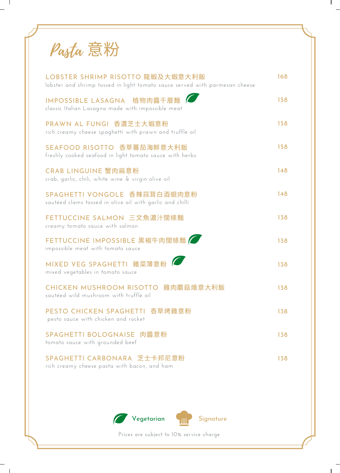| Pasta 意粉 |
|----------|
|----------|

 $\sim$  1

| LOBSTER SHRIMP RISOTTO 龍蝦及大蝦意大利飯<br>lobster and shrimp tossed in light tomato sauce served with parmesan cheese | 168 |
|-----------------------------------------------------------------------------------------------------------------|-----|
| IMPOSSIBLE LASAGNA 植物肉醬千層麵<br>classic Italian Lasagna made with impossible meat                                 | 158 |
| PRAWN AL FUNGI 香濃芝士大蝦意粉<br>rich creamy cheese spaghetti with prawn and truffle oil                              | 158 |
| SEAFOOD RISOTTO 香草蕃茄海鮮意大利飯<br>freshly cooked seafood in light tomato sauce with herbs                           | 158 |
| CRAB LINGUINE 蟹肉扁意粉<br>crab, garlic, chili, white wine & virgin olive oil                                       | 148 |
| SPAGHETTI VONGOLE 香辣蒜茸白酒蜆肉意粉<br>sautéed clams tossed in olive oil with garlic and chilli                        | 148 |
| FETTUCCINE SALMON 三文魚濃汁闊條麵<br>creamy tomato sauce with salmon                                                   | 138 |
| FETTUCCINE IMPOSSIBLE 黑椒牛肉闊條麵<br>impossible meat with tomato sauce                                              | 138 |
| MIXED VEG SPAGHETTI 雜菜薄意粉<br>mixed vegetables in tomato sauce                                                   | 138 |
| 雞肉蘑菇燴意大利飯<br><b>CHICKEN MUSHROOM RISOTTO</b><br>sautéed wild mushroom with truffle oil                          | 138 |
| PESTO CHICKEN SPAGHETTI 香草烤雞意粉<br>pesto sauce with chicken and rocket                                           | 138 |
| <b>SPAGHETTI BOLOGNAISE</b><br>肉醬意粉<br>tomato sauce with grounded beef                                          | 138 |
| SPAGHETTI CARBONARA 芝士卡邦尼意粉<br>rich creamy cheese pasta with bacon, and ham                                     | 138 |

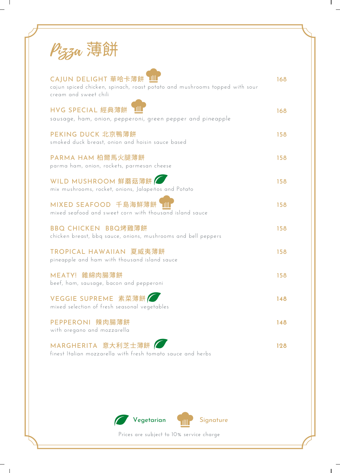| ∠溥餅                                                                                                                        |     |
|----------------------------------------------------------------------------------------------------------------------------|-----|
| CAJUN DELIGHT 華哈卡薄餅<br>cajun spiced chicken, spinach, roast potato and mushrooms topped with sour<br>cream and sweet chili | 168 |
| HVG SPECIAL 經典薄餅<br>sausage, ham, onion, pepperoni, green pepper and pineapple                                             | 168 |
| PEKING DUCK 北京鴨薄餅<br>smoked duck breast, onion and hoisin sauce based                                                      | 158 |
| PARMA HAM 柏爾馬火腿薄餅<br>parma ham, onion, rockets, parmesan cheese                                                            | 158 |
| WILD MUSHROOM 鮮蘑菇薄餅<br>mix mushrooms, rocket, onions, Jalapeños and Potato                                                 | 158 |
| MIXED SEAFOOD 千島海鮮薄餅<br>mixed seafood and sweet corn with thousand island sauce                                            | 158 |
| BBQ CHICKEN BBQ烤雞薄餅<br>chicken breast, bbq sauce, onions, mushrooms and bell peppers                                       | 158 |
| TROPICAL HAWAIIAN 夏威夷薄餅<br>pineapple and ham with thousand island sauce                                                    | 158 |
| MEATY! 雜綿肉腸薄餅<br>beef, ham, sausage, bacon and pepperoni                                                                   | 158 |
| VEGGIE SUPREME 素菜薄餅<br>mixed selection of fresh seasonal vegetables                                                        | 148 |
| PEPPERONI 辣肉腸薄餅<br>with oregano and mozzarella                                                                             | 148 |
| MARGHERITA 意大利芝士薄餅<br>finest Italian mozzarella with fresh tomato sauce and herbs                                          | 128 |

 $\sim 10$